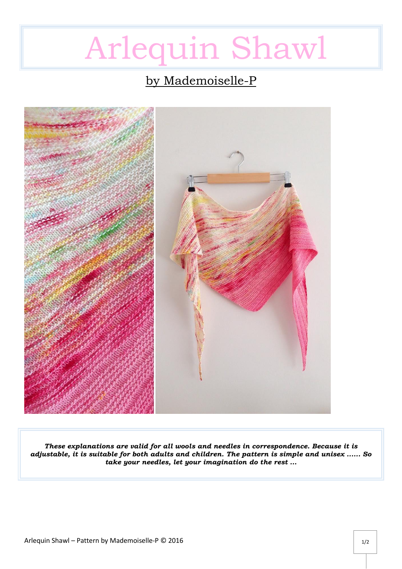# Arlequin Shawl

# by Mademoiselle-P



*These explanations are valid for all wools and needles in correspondence. Because it is adjustable, it is suitable for both adults and children. The pattern is simple and unisex ...... So take your needles, let your imagination do the rest ...*